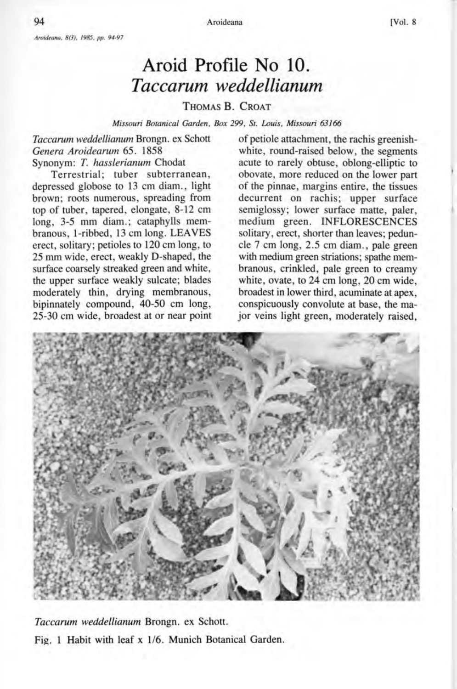## **Aroid Profile No 10.**  *Taccarum weddellianum*

## THOMAS B. CROAT

*Missouri BotanicaL Garden, Box* 299, *St. Louis, Missouri 63166* 

*Taccarum weddellianum* Brongn. ex Schott *Genera Aroidearum* 65. 1858 Synonym: T. *hasslerianum* Chodat

Terrestrial; tuber subterranean, depressed globose to 13 cm diam., light brown; roots numerous, spreading from top of tuber, tapered, elongate, 8-12 cm long, 3-5 mm diam.; cataphylls membranous, I-ribbed, 13 cm long. LEAVES erect, solitary; petioles to 120 cm long, to 25 mm wide, erect, weakly D-shaped, the surface coarsely streaked green and white, the upper surface weakly sulcate; blades moderately thin, drying membranous, bipinnately compound, 40-50 cm long, 25-30 cm wide, broadest at or near point of petiole attachment, the rachis greenishwhite, round-raised below, the segments acute to rarely obtuse, oblong-elliptic to obovate, more reduced on the lower part of the pinnae, margins entire, the tissues decurrent on rachis; upper surface semiglossy; lower surface matte, paler, medium green. INFLORESCENCES solitary, erect, shorter than leaves; peduncle 7 cm long, 2.5 cm diam., pale green with medium green striations; spathe membranous, crinkled, pale green to creamy white, ovate, to 24 cm long, 20 cm wide, broadest in lower third, acuminate at apex, conspicuously convolute at base, the major veins light green, moderately raised,



*Taccarum weddellianum* Brongn. ex Schott. Fig. 1 Habit with leaf x 1/6. Munich Botanical Garden.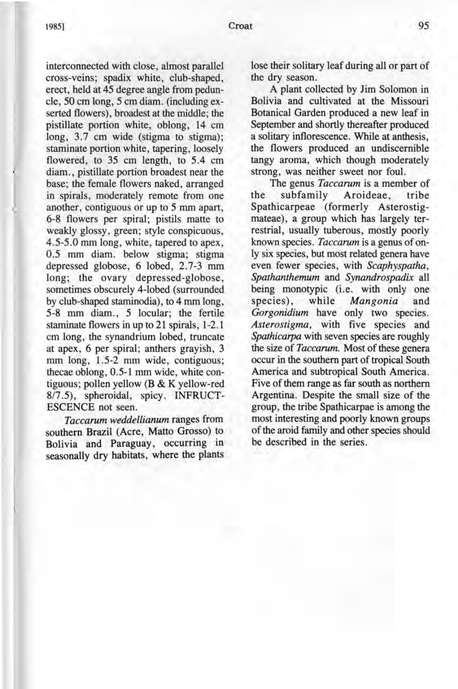interconnected with close, almost parallel cross-veins; spadix white, club-shaped, erect, held at 45 degree angle from peduncle, 50 cm long, 5 cm diam. (including exserted flowers), broadest at the middle; the pistillate portion white, oblong, 14 cm long, 3.7 cm wide (stigma to stigma); staminate portion white, tapering, loosely flowered, to 35 cm length, to 5.4 cm diam., pistillate portion broadest near the base; the female flowers naked, arranged in spirals, moderately remote from one another, contiguous or up to 5 mm apart, 6-8 flowers per spiral; pistils matte to weakly glossy, green; style conspicuous, 4.5-5.0 mm long, white, tapered to apex, 0.5 mm diam. below stigma; stigma depressed globose, 6 lobed, 2.7-3 mm long; the ovary depressed-globose, sometimes obscurely 4-lobed (surrounded by club-shaped staminodia), to 4 mm long, 5-8 mm diam., 5 locular; the fertile staminate flowers in up to 21 spirals, 1-2.1 cm long, the synandrium lobed, truncate at apex, 6 per spiral; anthers grayish, 3 mm long, 1.5-2 mm wide, contiguous; thecae oblong, 0.5-1 mm wide, white contiguous; pollen yellow (B & K yellow-red 817.5), spheroidal, spicy. INFRUCT-ESCENCE not seen.

*Taccarum weddellianum* ranges from southern Brazil (Acre, Matto Grosso) to Bolivia and Paraguay, occurring in seasonally dry habitats, where the plants

lose their solitary leaf during all or part of the dry season.

A plant collected by Jim Solomon in Bolivia and cultivated at the Missouri Botanical Garden produced a new leaf in September and shortly thereafter produced a solitary inflorescence. While at anthesis, the flowers produced an undiscernible tangy aroma, which though moderately strong, was neither sweet nor foul.

The genus *Taccarum* is a member of<br>subfamily Aroideae, tribe the subfamily Aroideae, tribe Spathicarpeae (formerly Asterostigmateae), a group which has largely terrestrial, usually tuberous, mostly poorly known species. *Taccarum* is a genus of only six species, but most related genera have even fewer species, with *Scaphyspatha, Spathanthemum* and *Synandrospadix* all being monotypic (i.e. with only one<br>species), while Mangonia and while *Mangonia* and *Gorgonidium* have only two species. *Asterostigma,* with five species and *Spathicarpa* with seven species are roughly the size of *Taccarum.* Most of these genera occur in the southern part of tropical South America and subtropical South America. Five of them range as far south as northern Argentina. Despite the small size of the group, the tribe Spathicarpae is among the most interesting and poorly known groups of the aroid family and other species should be described in the series.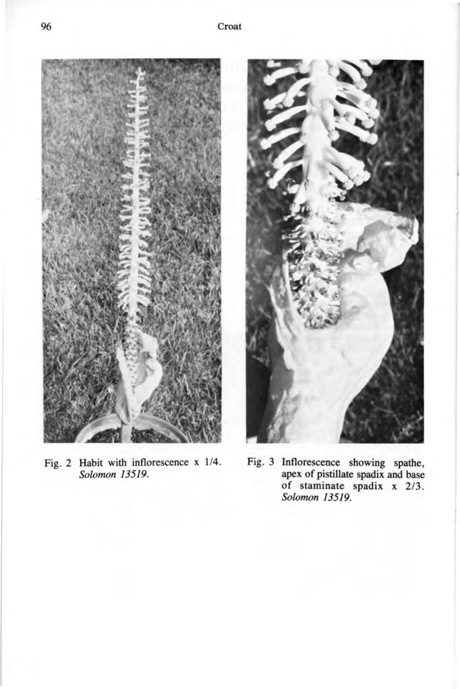

Fig. 2 Habit with inflorescence x 1/4. *Solomon 13519.* 



Fig. 3 Inflorescence showing spathe, apex of pistillate spadix and base of staminate spadix x 2/3. *Solomon 13519.*